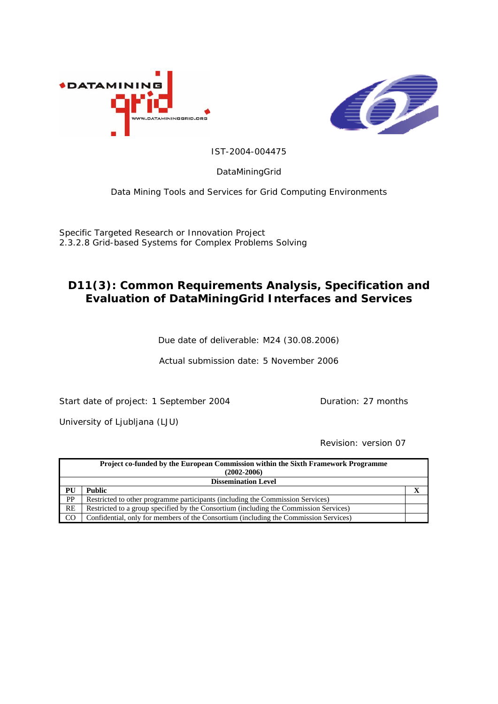



IST-2004-004475

DataMiningGrid

Data Mining Tools and Services for Grid Computing Environments

Specific Targeted Research or Innovation Project 2.3.2.8 Grid-based Systems for Complex Problems Solving

# **D11(3): Common Requirements Analysis, Specification and Evaluation of DataMiningGrid Interfaces and Services**

Due date of deliverable: M24 (30.08.2006)

Actual submission date: 5 November 2006

Start date of project: 1 September 2004 Duration: 27 months

University of Ljubljana (LJU)

Revision: version 07

|                            | <b>Project co-funded by the European Commission within the Sixth Framework Programme</b><br>$(2002 - 2006)$ |  |  |  |
|----------------------------|-------------------------------------------------------------------------------------------------------------|--|--|--|
| <b>Dissemination Level</b> |                                                                                                             |  |  |  |
| PU                         | <b>Public</b>                                                                                               |  |  |  |
| <b>PP</b>                  | Restricted to other programme participants (including the Commission Services)                              |  |  |  |
| RE                         | Restricted to a group specified by the Consortium (including the Commission Services)                       |  |  |  |
| <sub>CO</sub>              | Confidential, only for members of the Consortium (including the Commission Services)                        |  |  |  |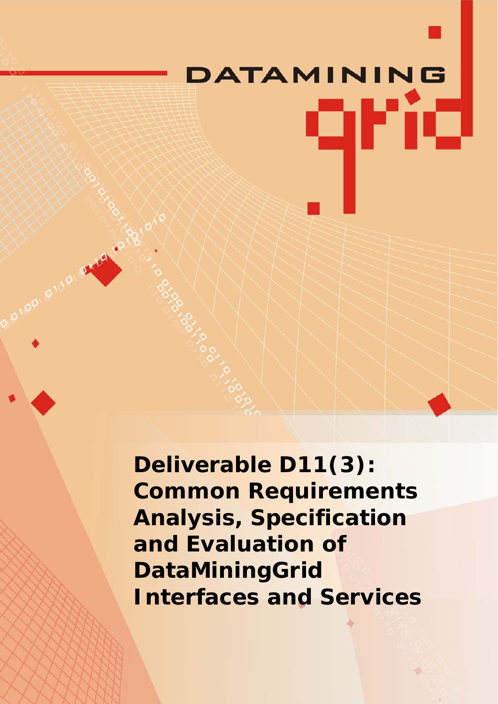# **ATAMINING** qrid

**Deliverable D11(3): Common Requirements Analysis, Specification and Evaluation of DataMiningGrid Interfaces and Services** 

**P100 B110**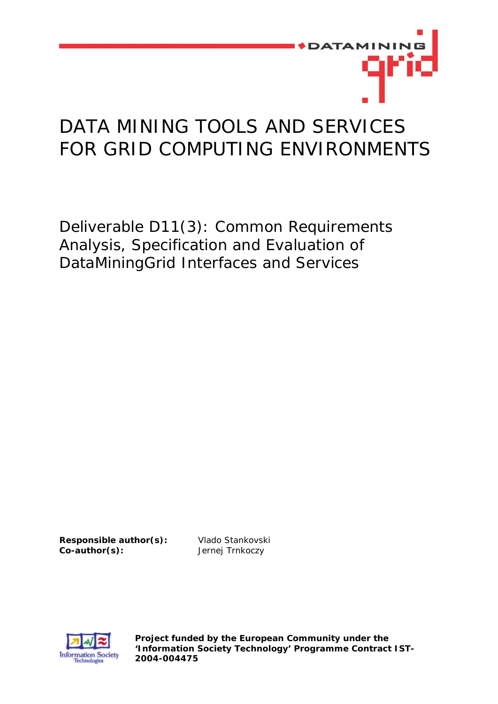

# DATA MINING TOOLS AND SERVICES FOR GRID COMPUTING ENVIRONMENTS

Deliverable D11(3): Common Requirements Analysis, Specification and Evaluation of DataMiningGrid Interfaces and Services

**Responsible author(s):** Vlado Stankovski **Co-author(s):** Jernej Trnkoczy



**Project funded by the European Community under the 'Information Society Technology' Programme Contract IST-2004-004475**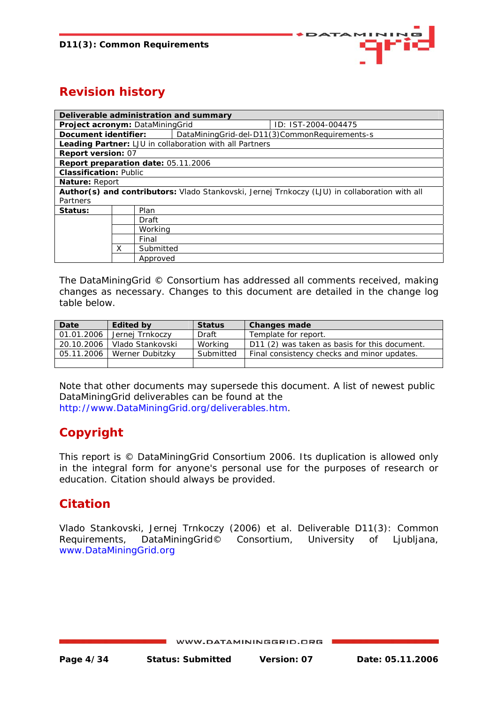

# **Revision history**

| Deliverable administration and summary |   |           |                                                         |                                                                                               |  |
|----------------------------------------|---|-----------|---------------------------------------------------------|-----------------------------------------------------------------------------------------------|--|
| Project acronym: DataMiningGrid        |   |           |                                                         | ID: IST-2004-004475                                                                           |  |
| Document identifier:                   |   |           |                                                         | DataMiningGrid-del-D11(3)CommonRequirements-s                                                 |  |
|                                        |   |           | Leading Partner: LJU in collaboration with all Partners |                                                                                               |  |
| <b>Report version: 07</b>              |   |           |                                                         |                                                                                               |  |
| Report preparation date: 05.11.2006    |   |           |                                                         |                                                                                               |  |
| <b>Classification: Public</b>          |   |           |                                                         |                                                                                               |  |
| Nature: Report                         |   |           |                                                         |                                                                                               |  |
|                                        |   |           |                                                         | Author(s) and contributors: Vlado Stankovski, Jernej Trnkoczy (LJU) in collaboration with all |  |
| Partners                               |   |           |                                                         |                                                                                               |  |
| Status:                                |   | Plan      |                                                         |                                                                                               |  |
|                                        |   | Draft     |                                                         |                                                                                               |  |
|                                        |   | Working   |                                                         |                                                                                               |  |
|                                        |   | Final     |                                                         |                                                                                               |  |
|                                        | X | Submitted |                                                         |                                                                                               |  |
|                                        |   | Approved  |                                                         |                                                                                               |  |

The DataMiningGrid © Consortium has addressed all comments received, making changes as necessary. Changes to this document are detailed in the change log table below.

| Date       | <b>Edited by</b> | <b>Status</b> | <b>Changes made</b>                           |
|------------|------------------|---------------|-----------------------------------------------|
| 01.01.2006 | Jernej Trnkoczy  | Draft         | Template for report.                          |
| 20.10.2006 | Vlado Stankovski | Working       | D11 (2) was taken as basis for this document. |
| 05.11.2006 | Werner Dubitzky  | Submitted     | Final consistency checks and minor updates.   |
|            |                  |               |                                               |

Note that other documents may supersede this document. A list of newest public DataMiningGrid deliverables can be found at the [http://www.DataMiningGrid.org/deliverables.htm.](http://www.datamininggrid.org/deliverables.htm)

# **Copyright**

This report is © DataMiningGrid Consortium 2006. Its duplication is allowed only in the integral form for anyone's personal use for the purposes of research or education. Citation should always be provided.

# **Citation**

Vlado Stankovski, Jernej Trnkoczy (2006) et al. Deliverable D11(3): Common Requirements, DataMiningGrid© Consortium, University of Ljubljana, [www.DataMiningGrid.org](http://www.datamininggrid.org/)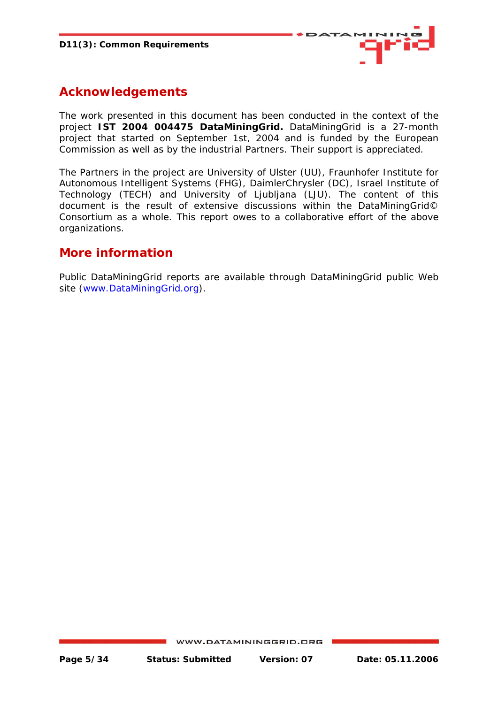

# **Acknowledgements**

The work presented in this document has been conducted in the context of the project **IST 2004 004475 DataMiningGrid.** DataMiningGrid is a 27-month project that started on September 1st, 2004 and is funded by the European Commission as well as by the industrial Partners. Their support is appreciated.

The Partners in the project are University of Ulster (UU), Fraunhofer Institute for Autonomous Intelligent Systems (FHG), DaimlerChrysler (DC), Israel Institute of Technology (TECH) and University of Ljubljana (LJU). The content of this document is the result of extensive discussions within the DataMiningGrid© Consortium as a whole. This report owes to a collaborative effort of the above organizations.

## **More information**

Public DataMiningGrid reports are available through DataMiningGrid public Web site [\(www.DataMiningGrid.org\)](http://www.datamininggrid.org/).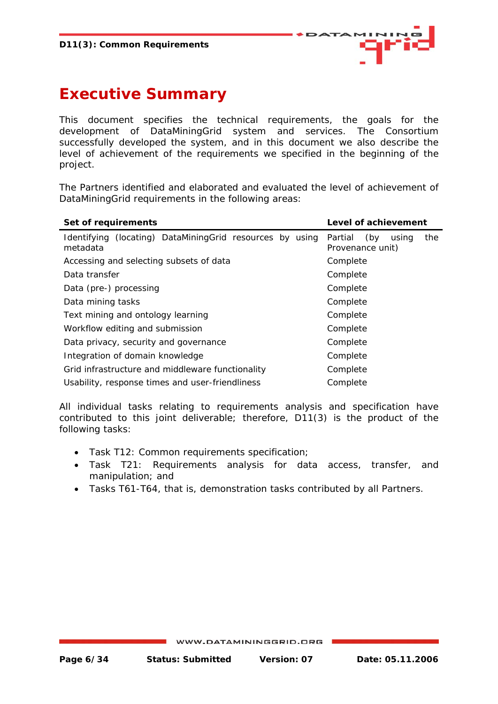

# <span id="page-5-0"></span>**Executive Summary**

This document specifies the technical requirements, the goals for the development of DataMiningGrid system and services. The Consortium successfully developed the system, and in this document we also describe the level of achievement of the requirements we specified in the beginning of the project.

The Partners identified and elaborated and evaluated the level of achievement of DataMiningGrid requirements in the following areas:

| Set of requirements                                                  | Level of achievement                               |  |  |
|----------------------------------------------------------------------|----------------------------------------------------|--|--|
| Identifying (locating) DataMiningGrid resources by using<br>metadata | the<br>Partial<br>(by<br>using<br>Provenance unit) |  |  |
| Accessing and selecting subsets of data                              | Complete                                           |  |  |
| Data transfer                                                        | Complete                                           |  |  |
| Data (pre-) processing                                               | Complete                                           |  |  |
| Data mining tasks                                                    | Complete                                           |  |  |
| Text mining and ontology learning                                    | Complete                                           |  |  |
| Workflow editing and submission                                      | Complete                                           |  |  |
| Data privacy, security and governance                                | Complete                                           |  |  |
| Integration of domain knowledge                                      | Complete                                           |  |  |
| Grid infrastructure and middleware functionality                     | Complete                                           |  |  |
| Usability, response times and user-friendliness                      | Complete                                           |  |  |

All individual tasks relating to requirements analysis and specification have contributed to this joint deliverable; therefore, D11(3) is the product of the following tasks:

- Task T12: Common requirements specification;
- Task T21: Requirements analysis for data access, transfer, and manipulation; and
- Tasks T61-T64, that is, demonstration tasks contributed by all Partners.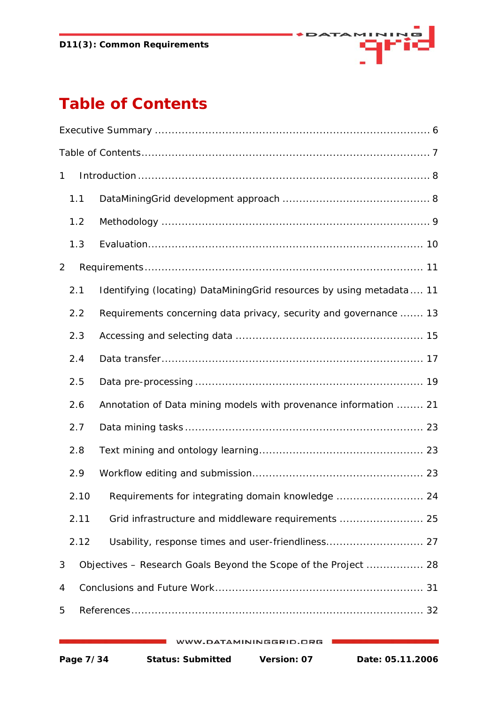

# <span id="page-6-0"></span>**Table of Contents**

| $\mathbf{1}$ |                                                                      |  |  |  |  |
|--------------|----------------------------------------------------------------------|--|--|--|--|
| 1.1          |                                                                      |  |  |  |  |
| 1.2          |                                                                      |  |  |  |  |
| 1.3          |                                                                      |  |  |  |  |
| 2            |                                                                      |  |  |  |  |
| 2.1          | Identifying (locating) DataMiningGrid resources by using metadata 11 |  |  |  |  |
| 2.2          | Requirements concerning data privacy, security and governance  13    |  |  |  |  |
| 2.3          |                                                                      |  |  |  |  |
| 2.4          |                                                                      |  |  |  |  |
| 2.5          |                                                                      |  |  |  |  |
| 2.6          | Annotation of Data mining models with provenance information  21     |  |  |  |  |
| 2.7          |                                                                      |  |  |  |  |
| 2.8          |                                                                      |  |  |  |  |
| 2.9          |                                                                      |  |  |  |  |
| 2.10         | Requirements for integrating domain knowledge  24                    |  |  |  |  |
| 2.11         | Grid infrastructure and middleware requirements  25                  |  |  |  |  |
| 2.12         | Usability, response times and user-friendliness 27                   |  |  |  |  |
| 3            | Objectives - Research Goals Beyond the Scope of the Project  28      |  |  |  |  |
| 4            |                                                                      |  |  |  |  |
| 5            |                                                                      |  |  |  |  |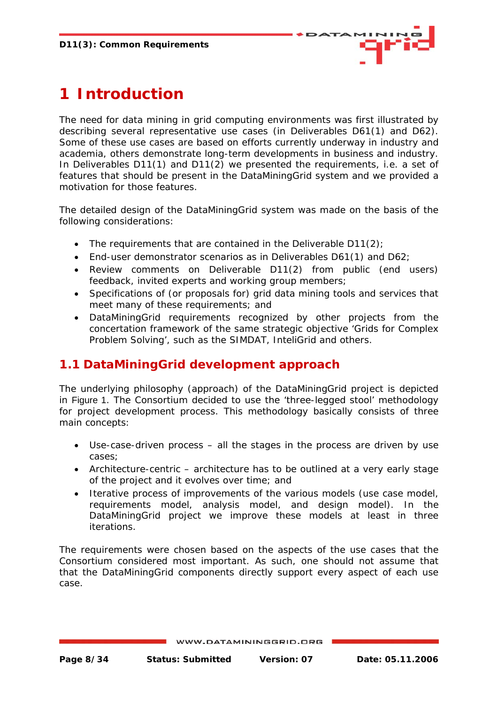

# <span id="page-7-0"></span>**1 Introduction**

The need for data mining in grid computing environments was first illustrated by describing several representative use cases (in Deliverables D61(1) and D62). Some of these use cases are based on efforts currently underway in industry and academia, others demonstrate long-term developments in business and industry. In Deliverables D11(1) and D11(2) we presented the requirements, i.e. a set of features that should be present in the DataMiningGrid system and we provided a motivation for those features.

The detailed design of the DataMiningGrid system was made on the basis of the following considerations:

- The requirements that are contained in the Deliverable D11(2):
- End-user demonstrator scenarios as in Deliverables D61(1) and D62;
- Review comments on Deliverable D11(2) from public (end users) feedback, invited experts and working group members;
- Specifications of (or proposals for) grid data mining tools and services that meet many of these requirements; and
- DataMiningGrid requirements recognized by other projects from the concertation framework of the same strategic objective 'Grids for Complex Problem Solving', such as the SIMDAT, InteliGrid and others.

# **1.1 DataMiningGrid development approach**

The underlying philosophy (approach) of the DataMiningGrid project is depicted in [Figure 1](#page-8-1). The Consortium decided to use the 'three-legged stool' methodology for project development process. This methodology basically consists of three main concepts:

- Use-case-driven process all the stages in the process are driven by use cases;
- Architecture-centric architecture has to be outlined at a very early stage of the project and it evolves over time; and
- Iterative process of improvements of the various models (use case model, requirements model, analysis model, and design model). In the DataMiningGrid project we improve these models at least in three iterations.

The requirements were chosen based on the aspects of the use cases that the Consortium considered most important. As such, one should not assume that that the DataMiningGrid components directly support every aspect of each use case.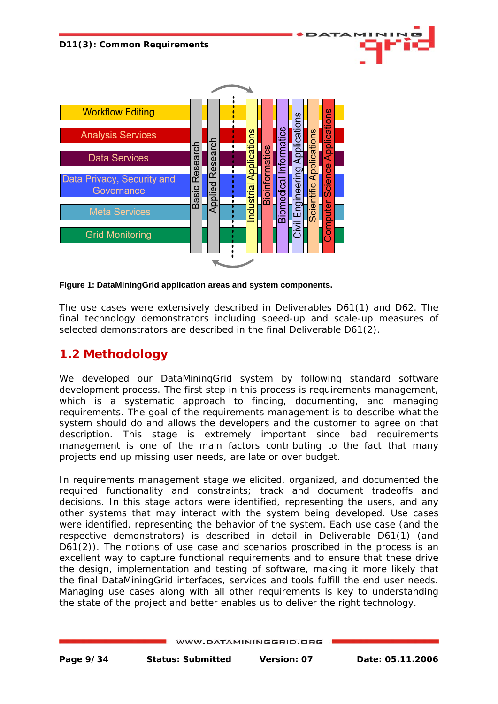<span id="page-8-0"></span>

#### <span id="page-8-1"></span>**Figure 1: DataMiningGrid application areas and system components.**

The use cases were extensively described in Deliverables D61(1) and D62. The final technology demonstrators including speed-up and scale-up measures of selected demonstrators are described in the final Deliverable D61(2).

## **1.2 Methodology**

We developed our DataMiningGrid system by following standard software development process. The first step in this process is requirements management, which is a systematic approach to finding, documenting, and managing requirements. The goal of the requirements management is to describe what the system should do and allows the developers and the customer to agree on that description. This stage is extremely important since bad requirements management is one of the main factors contributing to the fact that many projects end up missing user needs, are late or over budget.

In requirements management stage we elicited, organized, and documented the required functionality and constraints; track and document tradeoffs and decisions. In this stage actors were identified, representing the users, and any other systems that may interact with the system being developed. Use cases were identified, representing the behavior of the system. Each use case (and the respective demonstrators) is described in detail in Deliverable D61(1) (and D61(2)). The notions of use case and scenarios proscribed in the process is an excellent way to capture functional requirements and to ensure that these drive the design, implementation and testing of software, making it more likely that the final DataMiningGrid interfaces, services and tools fulfill the end user needs. Managing use cases along with all other requirements is key to understanding the state of the project and better enables us to deliver the right technology.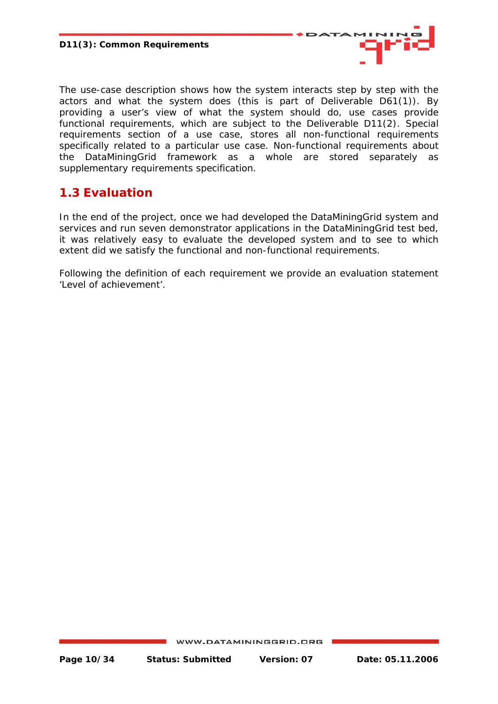

<span id="page-9-0"></span>The use-case description shows how the system interacts step by step with the actors and what the system does (this is part of Deliverable D61(1)). By providing a user's view of what the system should do, use cases provide functional requirements, which are subject to the Deliverable D11(2). Special requirements section of a use case, stores all non-functional requirements specifically related to a particular use case. Non-functional requirements about the DataMiningGrid framework as a whole are stored separately as supplementary requirements specification.

# **1.3 Evaluation**

In the end of the project, once we had developed the DataMiningGrid system and services and run seven demonstrator applications in the DataMiningGrid test bed, it was relatively easy to evaluate the developed system and to see to which extent did we satisfy the functional and non-functional requirements.

Following the definition of each requirement we provide an evaluation statement 'Level of achievement'.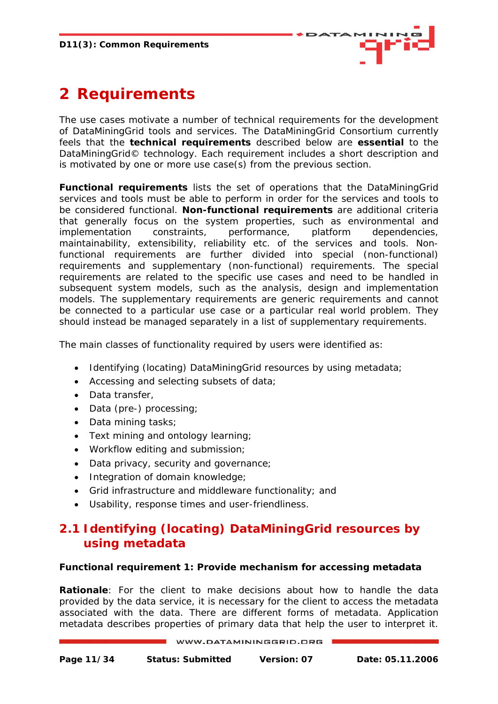

# <span id="page-10-0"></span>**2 Requirements**

The use cases motivate a number of technical requirements for the development of DataMiningGrid tools and services. The DataMiningGrid Consortium currently feels that the **technical requirements** described below are **essential** to the DataMiningGrid© technology. Each requirement includes a short description and is motivated by one or more use case(s) from the previous section.

**Functional requirements** lists the set of operations that the DataMiningGrid services and tools must be able to perform in order for the services and tools to be considered functional. **Non-functional requirements** are additional criteria that generally focus on the system properties, such as environmental and implementation constraints, performance, platform dependencies, maintainability, extensibility, reliability etc. of the services and tools. Nonfunctional requirements are further divided into *special* (non-functional) requirements and *supplementary* (non-functional) requirements. The special requirements are related to the specific use cases and need to be handled in subsequent system models, such as the analysis, design and implementation models. The supplementary requirements are generic requirements and cannot be connected to a particular use case or a particular real world problem. They should instead be managed separately in a list of supplementary requirements.

The main classes of functionality required by users were identified as:

- Identifying (locating) DataMiningGrid resources by using metadata;
- Accessing and selecting subsets of data;
- Data transfer,
- Data (pre-) processing;
- Data mining tasks;
- Text mining and ontology learning;
- Workflow editing and submission;
- Data privacy, security and governance;
- Integration of domain knowledge;
- Grid infrastructure and middleware functionality; and
- Usability, response times and user-friendliness.

# **2.1 Identifying (locating) DataMiningGrid resources by using metadata**

#### **Functional requirement 1: Provide mechanism for accessing metadata**

*Rationale*: For the client to make decisions about how to handle the data provided by the data service, it is necessary for the client to access the metadata associated with the data. There are different forms of metadata. Application metadata describes properties of primary data that help the user to interpret it.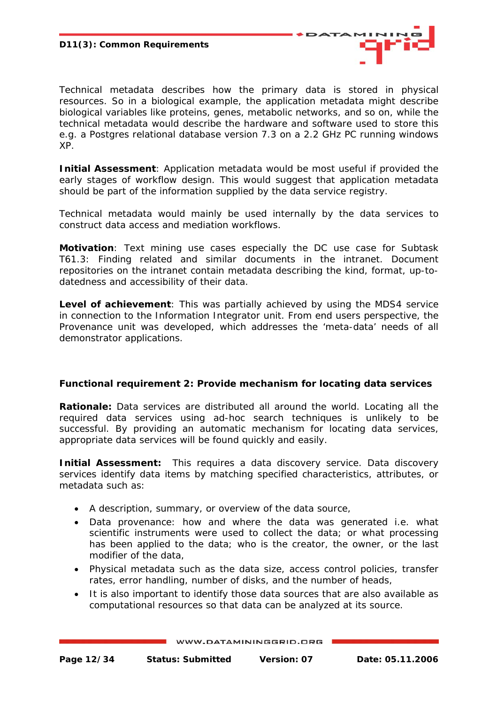

Technical metadata describes how the primary data is stored in physical resources. So in a biological example, the application metadata might describe biological variables like proteins, genes, metabolic networks, and so on, while the technical metadata would describe the hardware and software used to store this e.g. a Postgres relational database version 7.3 on a 2.2 GHz PC running windows XP.

*Initial Assessment:* Application metadata would be most useful if provided the early stages of workflow design. This would suggest that application metadata should be part of the information supplied by the data service registry.

Technical metadata would mainly be used internally by the data services to construct data access and mediation workflows.

*Motivation*: Text mining use cases especially the DC use case for Subtask T61.3: Finding related and similar documents in the intranet. Document repositories on the intranet contain metadata describing the kind, format, up-todatedness and accessibility of their data.

*Level of achievement*: This was partially achieved by using the MDS4 service in connection to the Information Integrator unit. From end users perspective, the Provenance unit was developed, which addresses the 'meta-data' needs of all demonstrator applications.

#### **Functional requirement 2: Provide mechanism for locating data services**

*Rationale:* Data services are distributed all around the world. Locating all the required data services using ad-hoc search techniques is unlikely to be successful. By providing an automatic mechanism for locating data services, appropriate data services will be found quickly and easily.

*Initial Assessment:* This requires a data discovery service. Data discovery services identify data items by matching specified characteristics, attributes, or metadata such as:

- A description, summary, or overview of the data source,
- Data provenance: how and where the data was generated i.e. what scientific instruments were used to collect the data; or what processing has been applied to the data; who is the creator, the owner, or the last modifier of the data,
- Physical metadata such as the data size, access control policies, transfer rates, error handling, number of disks, and the number of heads,
- It is also important to identify those data sources that are also available as computational resources so that data can be analyzed at its source.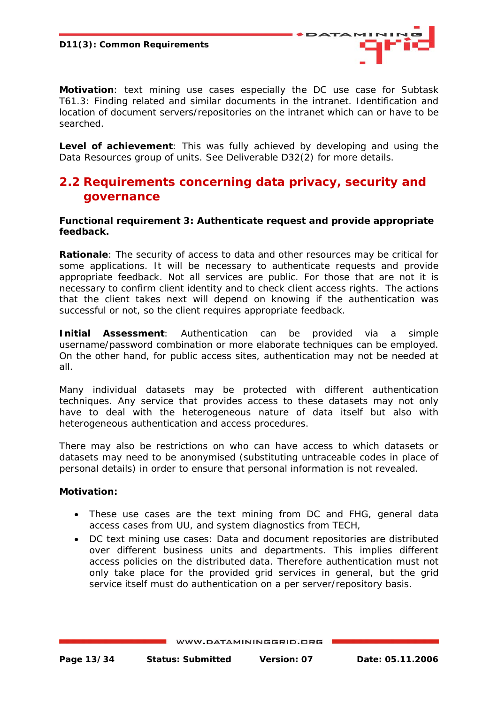

<span id="page-12-0"></span>*Motivation*: text mining use cases especially the DC use case for Subtask T61.3: Finding related and similar documents in the intranet. Identification and location of document servers/repositories on the intranet which can or have to be searched.

*Level of achievement*: This was fully achieved by developing and using the Data Resources group of units. See Deliverable D32(2) for more details.

# **2.2 Requirements concerning data privacy, security and governance**

#### **Functional requirement 3: Authenticate request and provide appropriate feedback.**

*Rationale*: The security of access to data and other resources may be critical for some applications. It will be necessary to authenticate requests and provide appropriate feedback. Not all services are public. For those that are not it is necessary to confirm client identity and to check client access rights. The actions that the client takes next will depend on knowing if the authentication was successful or not, so the client requires appropriate feedback.

**Initial Assessment**: Authentication can be provided via a simple username/password combination or more elaborate techniques can be employed. On the other hand, for public access sites, authentication may not be needed at all.

Many individual datasets may be protected with different authentication techniques. Any service that provides access to these datasets may not only have to deal with the heterogeneous nature of data itself but also with heterogeneous authentication and access procedures.

There may also be restrictions on who can have access to which datasets or datasets may need to be anonymised (substituting untraceable codes in place of personal details) in order to ensure that personal information is not revealed.

#### *Motivation:*

- These use cases are the text mining from DC and FHG, general data access cases from UU, and system diagnostics from TECH,
- DC text mining use cases: Data and document repositories are distributed over different business units and departments. This implies different access policies on the distributed data. Therefore authentication must not only take place for the provided grid services in general, but the grid service itself must do authentication on a per server/repository basis.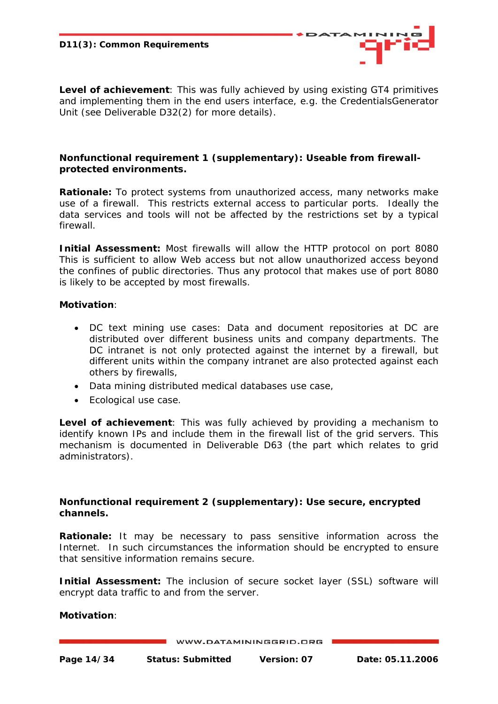*Level of achievement*: This was fully achieved by using existing GT4 primitives and implementing them in the end users interface, e.g. the CredentialsGenerator Unit (see Deliverable D32(2) for more details).

#### **Nonfunctional requirement 1 (supplementary): Useable from firewallprotected environments.**

**Rationale:** To protect systems from unauthorized access, many networks make use of a firewall. This restricts external access to particular ports. Ideally the data services and tools will not be affected by the restrictions set by a typical firewall.

*Initial Assessment:* Most firewalls will allow the HTTP protocol on port 8080 This is sufficient to allow Web access but not allow unauthorized access beyond the confines of public directories. Thus any protocol that makes use of port 8080 is likely to be accepted by most firewalls.

#### *Motivation:*

- DC text mining use cases: Data and document repositories at DC are distributed over different business units and company departments. The DC intranet is not only protected against the internet by a firewall, but different units within the company intranet are also protected against each others by firewalls,
- Data mining distributed medical databases use case,
- Ecological use case.

*Level of achievement*: This was fully achieved by providing a mechanism to identify known IPs and include them in the firewall list of the grid servers. This mechanism is documented in Deliverable D63 (the part which relates to grid administrators).

#### **Nonfunctional requirement 2 (supplementary): Use secure, encrypted channels.**

**Rationale:** It may be necessary to pass sensitive information across the Internet. In such circumstances the information should be encrypted to ensure that sensitive information remains secure.

**Initial Assessment:** The inclusion of secure socket layer (SSL) software will encrypt data traffic to and from the server.

#### *Motivation*: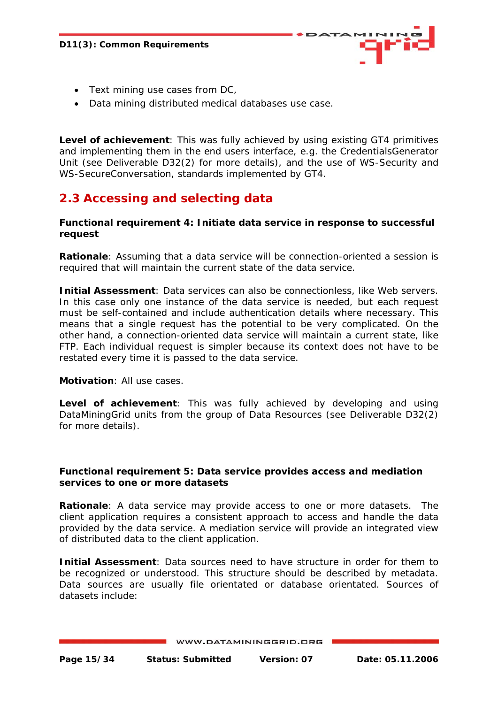

- <span id="page-14-0"></span>• Text mining use cases from DC,
- Data mining distributed medical databases use case.

*Level of achievement*: This was fully achieved by using existing GT4 primitives and implementing them in the end users interface, e.g. the CredentialsGenerator Unit (see Deliverable D32(2) for more details), and the use of WS-Security and WS-SecureConversation, standards implemented by GT4.

# **2.3 Accessing and selecting data**

#### **Functional requirement 4: Initiate data service in response to successful request**

*Rationale*: Assuming that a data service will be connection-oriented a session is required that will maintain the current state of the data service.

*Initial Assessment*: Data services can also be connectionless, like Web servers. In this case only one instance of the data service is needed, but each request must be self-contained and include authentication details where necessary. This means that a single request has the potential to be very complicated. On the other hand, a connection-oriented data service will maintain a current state, like FTP. Each individual request is simpler because its context does not have to be restated every time it is passed to the data service.

*Motivation*: All use cases.

*Level of achievement*: This was fully achieved by developing and using DataMiningGrid units from the group of Data Resources (see Deliverable D32(2) for more details).

#### **Functional requirement 5: Data service provides access and mediation services to one or more datasets**

*Rationale*: A data service may provide access to one or more datasets. The client application requires a consistent approach to access and handle the data provided by the data service. A mediation service will provide an integrated view of distributed data to the client application.

*Initial Assessment*: Data sources need to have structure in order for them to be recognized or understood. This structure should be described by metadata. Data sources are usually file orientated or database orientated. Sources of datasets include: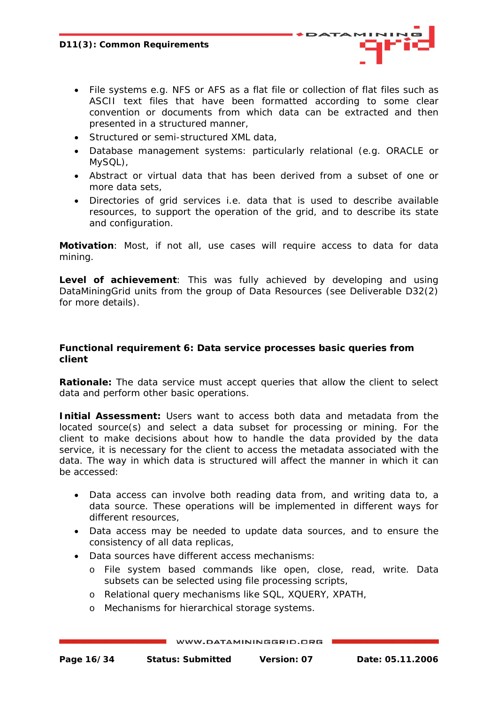- File systems e.g. NFS or AFS as a flat file or collection of flat files such as ASCII text files that have been formatted according to some clear convention or documents from which data can be extracted and then presented in a structured manner,
- Structured or semi-structured XML data,
- Database management systems: particularly relational (e.g. ORACLE or MySQL),
- Abstract or virtual data that has been derived from a subset of one or more data sets,
- Directories of grid services i.e. data that is used to describe available resources, to support the operation of the grid, and to describe its state and configuration.

*Motivation*: Most, if not all, use cases will require access to data for data mining.

*Level of achievement*: This was fully achieved by developing and using DataMiningGrid units from the group of Data Resources (see Deliverable D32(2) for more details).

#### **Functional requirement 6: Data service processes basic queries from client**

**Rationale:** The data service must accept queries that allow the client to select data and perform other basic operations.

*Initial Assessment:* Users want to access both data and metadata from the located source(s) and select a data subset for processing or mining. For the client to make decisions about how to handle the data provided by the data service, it is necessary for the client to access the metadata associated with the data. The way in which data is structured will affect the manner in which it can be accessed:

- Data access can involve both reading data from, and writing data to, a data source. These operations will be implemented in different ways for different resources,
- Data access may be needed to update data sources, and to ensure the consistency of all data replicas,
- Data sources have different access mechanisms:
	- o File system based commands like open, close, read, write. Data subsets can be selected using file processing scripts,
	- o Relational query mechanisms like SQL, XQUERY, XPATH,
	- o Mechanisms for hierarchical storage systems.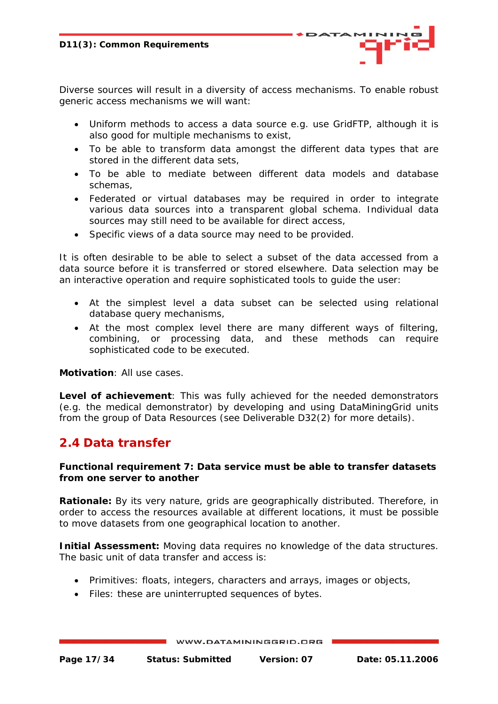<span id="page-16-0"></span>Diverse sources will result in a diversity of access mechanisms. To enable robust generic access mechanisms we will want:

- Uniform methods to access a data source e.g. use GridFTP, although it is also good for multiple mechanisms to exist,
- To be able to transform data amongst the different data types that are stored in the different data sets,
- To be able to mediate between different data models and database schemas,
- Federated or virtual databases may be required in order to integrate various data sources into a transparent global schema. Individual data sources may still need to be available for direct access,
- Specific views of a data source may need to be provided.

It is often desirable to be able to select a subset of the data accessed from a data source before it is transferred or stored elsewhere. Data selection may be an interactive operation and require sophisticated tools to guide the user:

- At the simplest level a data subset can be selected using relational database query mechanisms,
- At the most complex level there are many different ways of filtering, combining, or processing data, and these methods can require sophisticated code to be executed.

*Motivation*: All use cases.

*Level of achievement*: This was fully achieved for the needed demonstrators (e.g. the medical demonstrator) by developing and using DataMiningGrid units from the group of Data Resources (see Deliverable D32(2) for more details).

## **2.4 Data transfer**

#### **Functional requirement 7: Data service must be able to transfer datasets from one server to another**

**Rationale:** By its very nature, grids are geographically distributed. Therefore, in order to access the resources available at different locations, it must be possible to move datasets from one geographical location to another.

*Initial Assessment:* Moving data requires no knowledge of the data structures. The basic unit of data transfer and access is:

- Primitives: floats, integers, characters and arrays, images or objects,
- Files: these are uninterrupted sequences of bytes.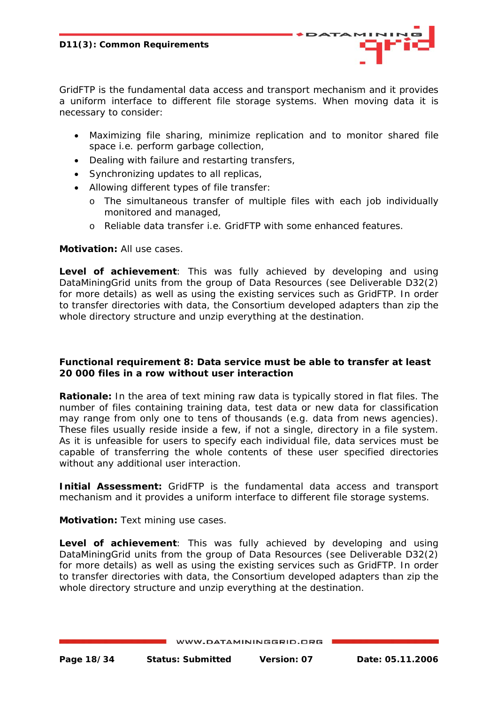GridFTP is the fundamental data access and transport mechanism and it provides a uniform interface to different file storage systems. When moving data it is necessary to consider:

- Maximizing file sharing, minimize replication and to monitor shared file space i.e. perform garbage collection,
- Dealing with failure and restarting transfers,
- Synchronizing updates to all replicas,
- Allowing different types of file transfer:
	- o The simultaneous transfer of multiple files with each job individually monitored and managed,
	- o Reliable data transfer i.e. GridFTP with some enhanced features.

#### *Motivation:* All use cases.

*Level of achievement*: This was fully achieved by developing and using DataMiningGrid units from the group of Data Resources (see Deliverable D32(2) for more details) as well as using the existing services such as GridFTP. In order to transfer directories with data, the Consortium developed adapters than zip the whole directory structure and unzip everything at the destination.

#### **Functional requirement 8: Data service must be able to transfer at least 20 000 files in a row without user interaction**

**Rationale:** In the area of text mining raw data is typically stored in flat files. The number of files containing training data, test data or new data for classification may range from only one to tens of thousands (e.g. data from news agencies). These files usually reside inside a few, if not a single, directory in a file system. As it is unfeasible for users to specify each individual file, data services must be capable of transferring the whole contents of these user specified directories without any additional user interaction.

**Initial Assessment:** GridFTP is the fundamental data access and transport mechanism and it provides a uniform interface to different file storage systems.

*Motivation:* Text mining use cases.

*Level of achievement*: This was fully achieved by developing and using DataMiningGrid units from the group of Data Resources (see Deliverable D32(2) for more details) as well as using the existing services such as GridFTP. In order to transfer directories with data, the Consortium developed adapters than zip the whole directory structure and unzip everything at the destination.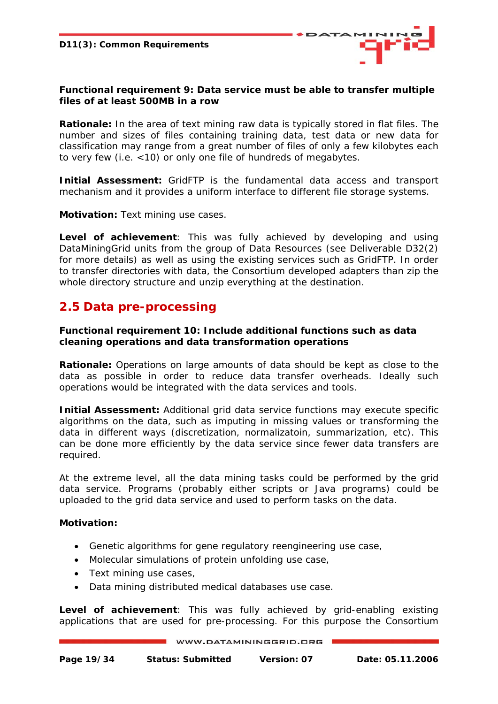

#### <span id="page-18-0"></span>**Functional requirement 9: Data service must be able to transfer multiple files of at least 500MB in a row**

**Rationale:** In the area of text mining raw data is typically stored in flat files. The number and sizes of files containing training data, test data or new data for classification may range from a great number of files of only a few kilobytes each to very few (i.e. <10) or only one file of hundreds of megabytes.

*Initial Assessment:* GridFTP is the fundamental data access and transport mechanism and it provides a uniform interface to different file storage systems.

*Motivation:* Text mining use cases.

*Level of achievement*: This was fully achieved by developing and using DataMiningGrid units from the group of Data Resources (see Deliverable D32(2) for more details) as well as using the existing services such as GridFTP. In order to transfer directories with data, the Consortium developed adapters than zip the whole directory structure and unzip everything at the destination.

## **2.5 Data pre-processing**

#### **Functional requirement 10: Include additional functions such as data cleaning operations and data transformation operations**

**Rationale:** Operations on large amounts of data should be kept as close to the data as possible in order to reduce data transfer overheads. Ideally such operations would be integrated with the data services and tools.

*Initial Assessment:* Additional grid data service functions may execute specific algorithms on the data, such as imputing in missing values or transforming the data in different ways (discretization, normalizatoin, summarization, etc). This can be done more efficiently by the data service since fewer data transfers are required.

At the extreme level, all the data mining tasks could be performed by the grid data service. Programs (probably either scripts or Java programs) could be uploaded to the grid data service and used to perform tasks on the data.

#### *Motivation:*

- Genetic algorithms for gene regulatory reengineering use case,
- Molecular simulations of protein unfolding use case,
- Text mining use cases,
- Data mining distributed medical databases use case.

*Level of achievement*: This was fully achieved by grid-enabling existing applications that are used for pre-processing. For this purpose the Consortium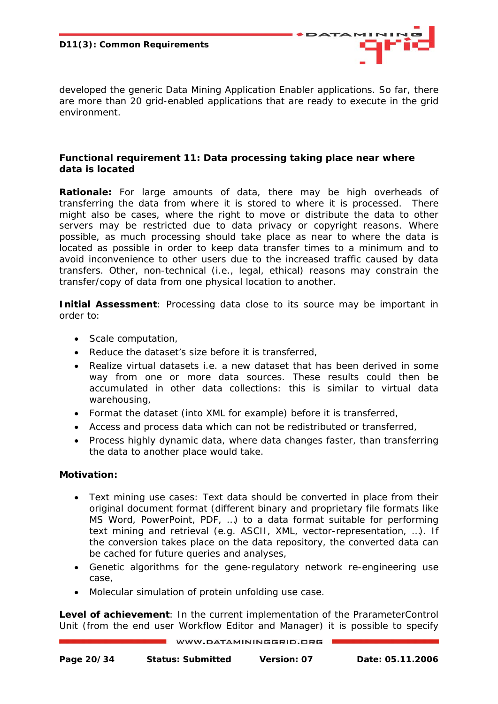

developed the generic Data Mining Application Enabler applications. So far, there are more than 20 grid-enabled applications that are ready to execute in the grid environment.

#### **Functional requirement 11: Data processing taking place near where data is located**

*Rationale:* For large amounts of data, there may be high overheads of transferring the data from where it is stored to where it is processed. There might also be cases, where the right to move or distribute the data to other servers may be restricted due to data privacy or copyright reasons. Where possible, as much processing should take place as near to where the data is located as possible in order to keep data transfer times to a minimum and to avoid inconvenience to other users due to the increased traffic caused by data transfers. Other, non-technical (i.e., legal, ethical) reasons may constrain the transfer/copy of data from one physical location to another.

*Initial Assessment:* Processing data close to its source may be important in order to:

- Scale computation,
- Reduce the dataset's size before it is transferred,
- Realize virtual datasets i.e. a new dataset that has been derived in some way from one or more data sources. These results could then be accumulated in other data collections: this is similar to virtual data warehousing,
- Format the dataset (into XML for example) before it is transferred,
- Access and process data which can not be redistributed or transferred,
- Process highly dynamic data, where data changes faster, than transferring the data to another place would take.

#### *Motivation:*

- Text mining use cases: Text data should be converted in place from their original document format (different binary and proprietary file formats like MS Word, PowerPoint, PDF, …) to a data format suitable for performing text mining and retrieval (e.g. ASCII, XML, vector-representation, …). If the conversion takes place on the data repository, the converted data can be cached for future queries and analyses,
- Genetic algorithms for the gene-regulatory network re-engineering use case,
- Molecular simulation of protein unfolding use case.

*Level of achievement*: In the current implementation of the PrarameterControl Unit (from the end user Workflow Editor and Manager) it is possible to specify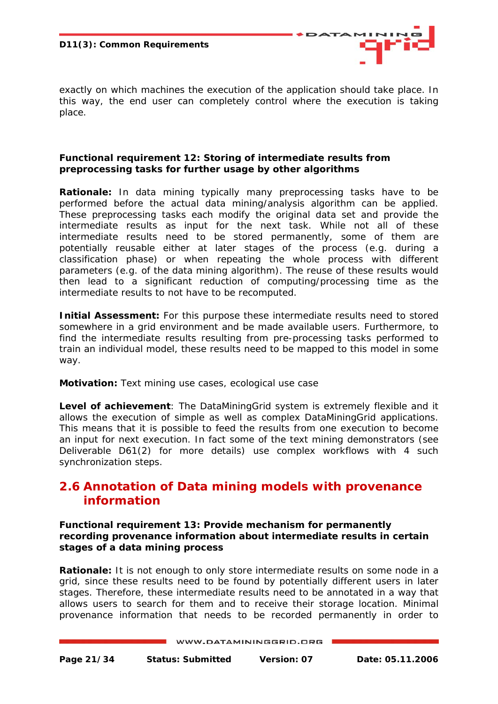<span id="page-20-0"></span>**D11(3): Common Requirements** 



exactly on which machines the execution of the application should take place. In this way, the end user can completely control where the execution is taking place.

#### **Functional requirement 12: Storing of intermediate results from preprocessing tasks for further usage by other algorithms**

*Rationale:* In data mining typically many preprocessing tasks have to be performed before the actual data mining/analysis algorithm can be applied. These preprocessing tasks each modify the original data set and provide the intermediate results as input for the next task. While not all of these intermediate results need to be stored permanently, some of them are potentially reusable either at later stages of the process (e.g. during a classification phase) or when repeating the whole process with different parameters (e.g. of the data mining algorithm). The reuse of these results would then lead to a significant reduction of computing/processing time as the intermediate results to not have to be recomputed.

**Initial Assessment:** For this purpose these intermediate results need to stored somewhere in a grid environment and be made available users. Furthermore, to find the intermediate results resulting from pre-processing tasks performed to train an individual model, these results need to be mapped to this model in some way.

*Motivation:* Text mining use cases, ecological use case

*Level of achievement*: The DataMiningGrid system is extremely flexible and it allows the execution of simple as well as complex DataMiningGrid applications. This means that it is possible to feed the results from one execution to become an input for next execution. In fact some of the text mining demonstrators (see Deliverable D61(2) for more details) use complex workflows with 4 such synchronization steps.

# **2.6 Annotation of Data mining models with provenance information**

**Functional requirement 13: Provide mechanism for permanently recording provenance information about intermediate results in certain stages of a data mining process** 

**Rationale:** It is not enough to only store intermediate results on some node in a grid, since these results need to be found by potentially different users in later stages. Therefore, these intermediate results need to be annotated in a way that allows users to search for them and to receive their storage location. Minimal provenance information that needs to be recorded permanently in order to

```
WWW.DATAMININGGRID.ORG
```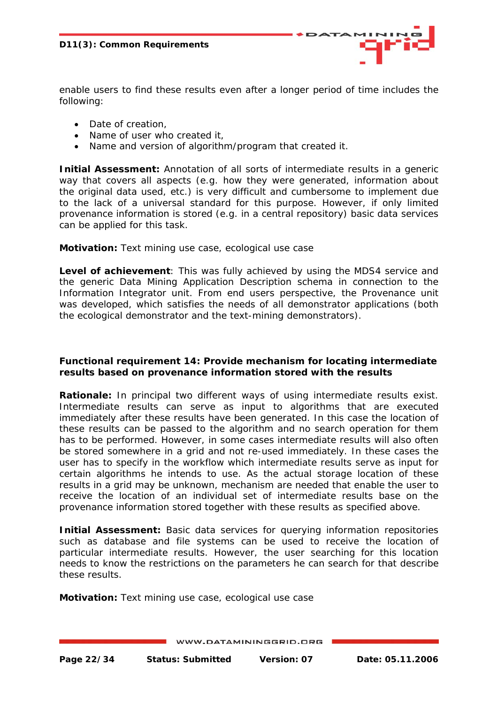

- Date of creation,
- Name of user who created it,
- Name and version of algorithm/program that created it.

**Initial Assessment:** Annotation of all sorts of intermediate results in a generic way that covers all aspects (e.g. how they were generated, information about the original data used, etc.) is very difficult and cumbersome to implement due to the lack of a universal standard for this purpose. However, if only limited provenance information is stored (e.g. in a central repository) basic data services can be applied for this task.

#### *Motivation:* Text mining use case, ecological use case

*Level of achievement*: This was fully achieved by using the MDS4 service and the generic Data Mining Application Description schema in connection to the Information Integrator unit. From end users perspective, the Provenance unit was developed, which satisfies the needs of all demonstrator applications (both the ecological demonstrator and the text-mining demonstrators).

#### **Functional requirement 14: Provide mechanism for locating intermediate results based on provenance information stored with the results**

**Rationale:** In principal two different ways of using intermediate results exist. Intermediate results can serve as input to algorithms that are executed immediately after these results have been generated. In this case the location of these results can be passed to the algorithm and no search operation for them has to be performed. However, in some cases intermediate results will also often be stored somewhere in a grid and not re-used immediately. In these cases the user has to specify in the workflow which intermediate results serve as input for certain algorithms he intends to use. As the actual storage location of these results in a grid may be unknown, mechanism are needed that enable the user to receive the location of an individual set of intermediate results base on the provenance information stored together with these results as specified above.

**Initial Assessment:** Basic data services for querying information repositories such as database and file systems can be used to receive the location of particular intermediate results. However, the user searching for this location needs to know the restrictions on the parameters he can search for that describe these results.

*Motivation:* Text mining use case, ecological use case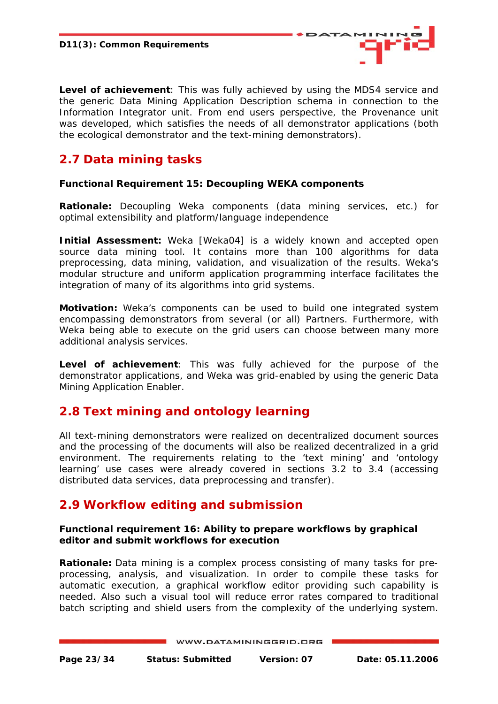<span id="page-22-0"></span>*Level of achievement*: This was fully achieved by using the MDS4 service and the generic Data Mining Application Description schema in connection to the Information Integrator unit. From end users perspective, the Provenance unit was developed, which satisfies the needs of all demonstrator applications (both the ecological demonstrator and the text-mining demonstrators).

# **2.7 Data mining tasks**

#### **Functional Requirement 15: Decoupling WEKA components**

*Rationale:* Decoupling Weka components (data mining services, etc.) for optimal extensibility and platform/language independence

**Initial Assessment:** Weka [Weka04] is a widely known and accepted open source data mining tool. It contains more than 100 algorithms for data preprocessing, data mining, validation, and visualization of the results. Weka's modular structure and uniform application programming interface facilitates the integration of many of its algorithms into grid systems.

*Motivation:* Weka's components can be used to build one integrated system encompassing demonstrators from several (or all) Partners. Furthermore, with Weka being able to execute on the grid users can choose between many more additional analysis services.

*Level of achievement*: This was fully achieved for the purpose of the demonstrator applications, and Weka was grid-enabled by using the generic Data Mining Application Enabler.

# **2.8 Text mining and ontology learning**

All text-mining demonstrators were realized on decentralized document sources and the processing of the documents will also be realized decentralized in a grid environment. The requirements relating to the 'text mining' and 'ontology learning' use cases were already covered in sections 3.2 to 3.4 (accessing distributed data services, data preprocessing and transfer).

# **2.9 Workflow editing and submission**

#### **Functional requirement 16: Ability to prepare workflows by graphical editor and submit workflows for execution**

*Rationale:* Data mining is a complex process consisting of many tasks for preprocessing, analysis, and visualization. In order to compile these tasks for automatic execution, a graphical workflow editor providing such capability is needed. Also such a visual tool will reduce error rates compared to traditional batch scripting and shield users from the complexity of the underlying system.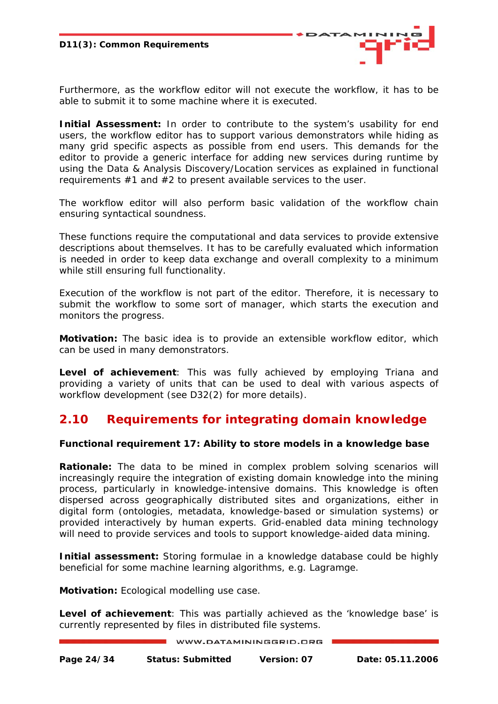

<span id="page-23-0"></span>Furthermore, as the workflow editor will not execute the workflow, it has to be able to submit it to some machine where it is executed.

**Initial Assessment:** In order to contribute to the system's usability for end users, the workflow editor has to support various demonstrators while hiding as many grid specific aspects as possible from end users. This demands for the editor to provide a generic interface for adding new services during runtime by using the Data & Analysis Discovery/Location services as explained in functional requirements  $#1$  and  $#2$  to present available services to the user.

The workflow editor will also perform basic validation of the workflow chain ensuring syntactical soundness.

These functions require the computational and data services to provide extensive descriptions about themselves. It has to be carefully evaluated which information is needed in order to keep data exchange and overall complexity to a minimum while still ensuring full functionality.

Execution of the workflow is not part of the editor. Therefore, it is necessary to submit the workflow to some sort of manager, which starts the execution and monitors the progress.

*Motivation:* The basic idea is to provide an extensible workflow editor, which can be used in many demonstrators.

*Level of achievement*: This was fully achieved by employing Triana and providing a variety of units that can be used to deal with various aspects of workflow development (see D32(2) for more details).

# **2.10 Requirements for integrating domain knowledge**

#### **Functional requirement 17: Ability to store models in a knowledge base**

**Rationale:** The data to be mined in complex problem solving scenarios will increasingly require the integration of existing domain knowledge into the mining process, particularly in knowledge-intensive domains. This knowledge is often dispersed across geographically distributed sites and organizations, either in digital form (ontologies, metadata, knowledge-based or simulation systems) or provided interactively by human experts. Grid-enabled data mining technology will need to provide services and tools to support knowledge-aided data mining.

*Initial assessment:* Storing formulae in a knowledge database could be highly beneficial for some machine learning algorithms, e.g. Lagramge.

*Motivation:* Ecological modelling use case.

*Level of achievement*: This was partially achieved as the 'knowledge base' is currently represented by files in distributed file systems.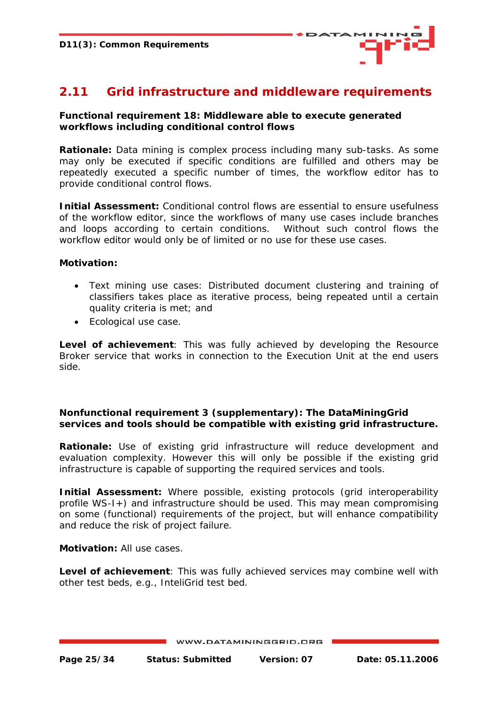

# <span id="page-24-0"></span>**2.11 Grid infrastructure and middleware requirements**

#### **Functional requirement 18: Middleware able to execute generated workflows including conditional control flows**

*Rationale:* Data mining is complex process including many sub-tasks. As some may only be executed if specific conditions are fulfilled and others may be repeatedly executed a specific number of times, the workflow editor has to provide conditional control flows.

**Initial Assessment:** Conditional control flows are essential to ensure usefulness of the workflow editor, since the workflows of many use cases include branches and loops according to certain conditions. Without such control flows the workflow editor would only be of limited or no use for these use cases.

#### *Motivation:*

- Text mining use cases: Distributed document clustering and training of classifiers takes place as iterative process, being repeated until a certain quality criteria is met; and
- Ecological use case.

*Level of achievement*: This was fully achieved by developing the Resource Broker service that works in connection to the Execution Unit at the end users side.

#### **Nonfunctional requirement 3 (supplementary): The DataMiningGrid services and tools should be compatible with existing grid infrastructure.**

**Rationale:** Use of existing grid infrastructure will reduce development and evaluation complexity. However this will only be possible if the existing grid infrastructure is capable of supporting the required services and tools.

**Initial Assessment:** Where possible, existing protocols (grid interoperability profile WS-I+) and infrastructure should be used. This may mean compromising on some (functional) requirements of the project, but will enhance compatibility and reduce the risk of project failure.

#### *Motivation:* All use cases.

*Level of achievement*: This was fully achieved services may combine well with other test beds, e.g., InteliGrid test bed.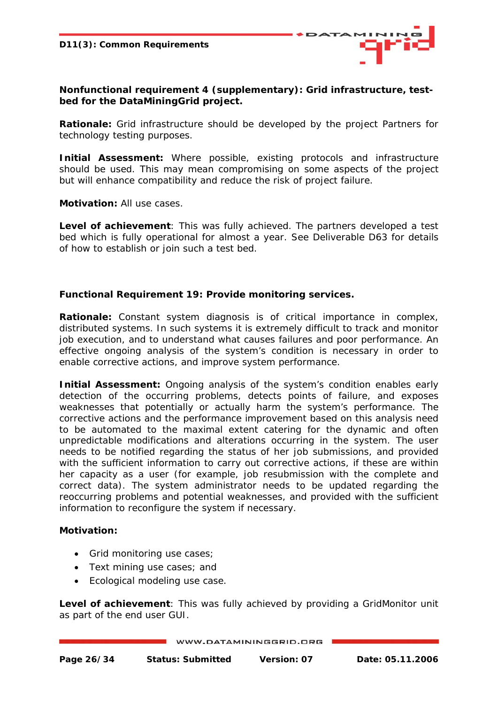

**Nonfunctional requirement 4 (supplementary): Grid infrastructure, testbed for the DataMiningGrid project.** 

*Rationale:* Grid infrastructure should be developed by the project Partners for technology testing purposes.

**Initial Assessment:** Where possible, existing protocols and infrastructure should be used. This may mean compromising on some aspects of the project but will enhance compatibility and reduce the risk of project failure.

*Motivation:* All use cases.

*Level of achievement*: This was fully achieved. The partners developed a test bed which is fully operational for almost a year. See Deliverable D63 for details of how to establish or join such a test bed.

#### **Functional Requirement 19: Provide monitoring services.**

*Rationale:* Constant system diagnosis is of critical importance in complex, distributed systems. In such systems it is extremely difficult to track and monitor job execution, and to understand what causes failures and poor performance. An effective ongoing analysis of the system's condition is necessary in order to enable corrective actions, and improve system performance.

*Initial Assessment:* Ongoing analysis of the system's condition enables early detection of the occurring problems, detects points of failure, and exposes weaknesses that potentially or actually harm the system's performance. The corrective actions and the performance improvement based on this analysis need to be automated to the maximal extent catering for the dynamic and often unpredictable modifications and alterations occurring in the system. The user needs to be notified regarding the status of her job submissions, and provided with the sufficient information to carry out corrective actions, if these are within her capacity as a user (for example, job resubmission with the complete and correct data). The system administrator needs to be updated regarding the reoccurring problems and potential weaknesses, and provided with the sufficient information to reconfigure the system if necessary.

#### *Motivation:*

- Grid monitoring use cases;
- Text mining use cases; and
- Ecological modeling use case.

*Level of achievement*: This was fully achieved by providing a GridMonitor unit as part of the end user GUI.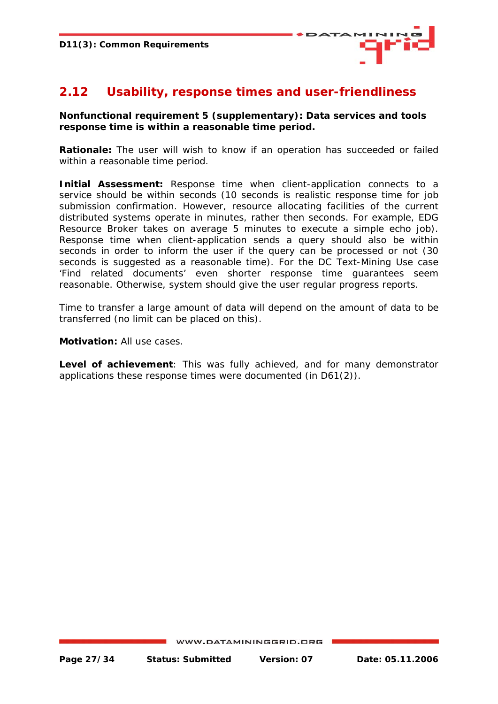

# <span id="page-26-0"></span>**2.12 Usability, response times and user-friendliness**

#### **Nonfunctional requirement 5 (supplementary): Data services and tools response time is within a reasonable time period.**

*Rationale:* The user will wish to know if an operation has succeeded or failed within a reasonable time period.

**Initial Assessment:** Response time when client-application connects to a service should be within seconds (10 seconds is realistic response time for job submission confirmation. However, resource allocating facilities of the current distributed systems operate in minutes, rather then seconds. For example, EDG Resource Broker takes on average 5 minutes to execute a simple echo job). Response time when client-application sends a query should also be within seconds in order to inform the user if the query can be processed or not (30 seconds is suggested as a reasonable time). For the DC Text-Mining Use case 'Find related documents' even shorter response time guarantees seem reasonable. Otherwise, system should give the user regular progress reports.

Time to transfer a large amount of data will depend on the amount of data to be transferred (no limit can be placed on this).

*Motivation:* All use cases.

*Level of achievement*: This was fully achieved, and for many demonstrator applications these response times were documented (in D61(2)).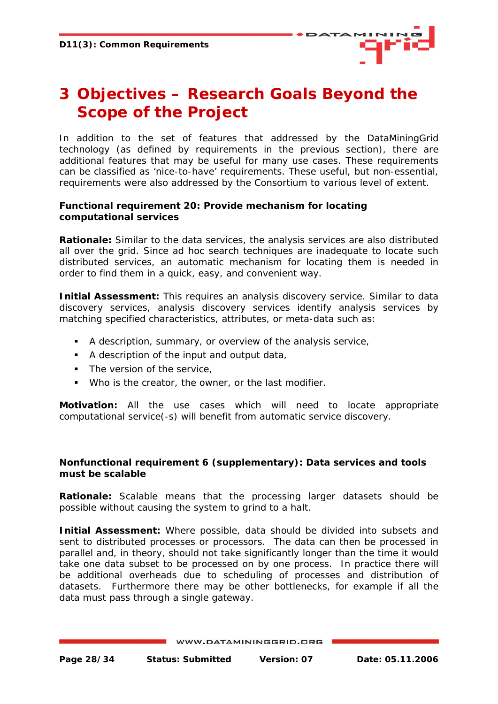

# <span id="page-27-0"></span>**3 Objectives – Research Goals Beyond the Scope of the Project**

In addition to the set of features that addressed by the DataMiningGrid technology (as defined by requirements in the previous section), there are additional features that may be useful for many use cases. These requirements can be classified as 'nice-to-have' requirements. These useful, but non-essential, requirements were also addressed by the Consortium to various level of extent.

#### **Functional requirement 20: Provide mechanism for locating computational services**

*Rationale:* Similar to the data services, the analysis services are also distributed all over the grid. Since ad hoc search techniques are inadequate to locate such distributed services, an automatic mechanism for locating them is needed in order to find them in a quick, easy, and convenient way.

**Initial Assessment:** This requires an analysis discovery service. Similar to data discovery services, analysis discovery services identify analysis services by matching specified characteristics, attributes, or meta-data such as:

- A description, summary, or overview of the analysis service,
- A description of the input and output data,
- The version of the service,
- Who is the creator, the owner, or the last modifier.

*Motivation:* All the use cases which will need to locate appropriate computational service(-s) will benefit from automatic service discovery.

#### **Nonfunctional requirement 6 (supplementary): Data services and tools must be scalable**

*Rationale:* Scalable means that the processing larger datasets should be possible without causing the system to grind to a halt.

*Initial Assessment:* Where possible, data should be divided into subsets and sent to distributed processes or processors. The data can then be processed in parallel and, in theory, should not take significantly longer than the time it would take one data subset to be processed on by one process. In practice there will be additional overheads due to scheduling of processes and distribution of datasets. Furthermore there may be other bottlenecks, for example if all the data must pass through a single gateway.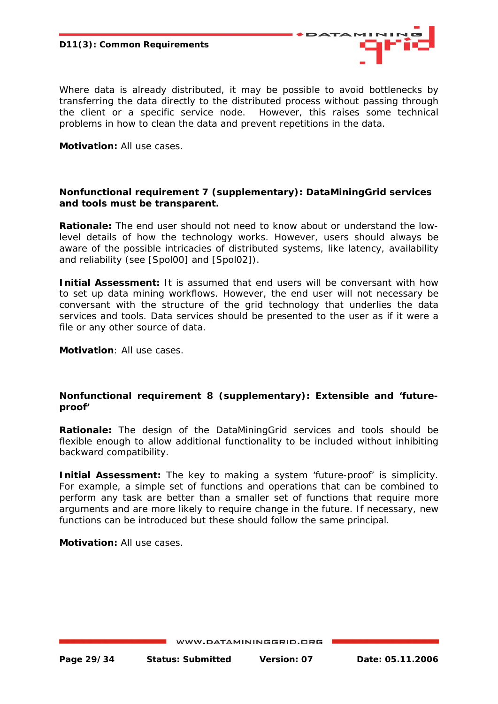

Where data is already distributed, it may be possible to avoid bottlenecks by transferring the data directly to the distributed process without passing through the client or a specific service node. However, this raises some technical problems in how to clean the data and prevent repetitions in the data.

*Motivation:* All use cases.

#### **Nonfunctional requirement 7 (supplementary): DataMiningGrid services and tools must be transparent.**

*Rationale:* The end user should not need to know about or understand the lowlevel details of how the technology works. However, users should always be aware of the possible intricacies of distributed systems, like latency, availability and reliability (see [Spol00] and [Spol02]).

**Initial Assessment:** It is assumed that end users will be conversant with how to set up data mining workflows. However, the end user will not necessary be conversant with the structure of the grid technology that underlies the data services and tools. Data services should be presented to the user as if it were a file or any other source of data.

*Motivation*: All use cases.

#### **Nonfunctional requirement 8 (supplementary): Extensible and 'futureproof'**

*Rationale:* The design of the DataMiningGrid services and tools should be flexible enough to allow additional functionality to be included without inhibiting backward compatibility.

**Initial Assessment:** The key to making a system 'future-proof' is simplicity. For example, a simple set of functions and operations that can be combined to perform any task are better than a smaller set of functions that require more arguments and are more likely to require change in the future. If necessary, new functions can be introduced but these should follow the same principal.

*Motivation:* All use cases.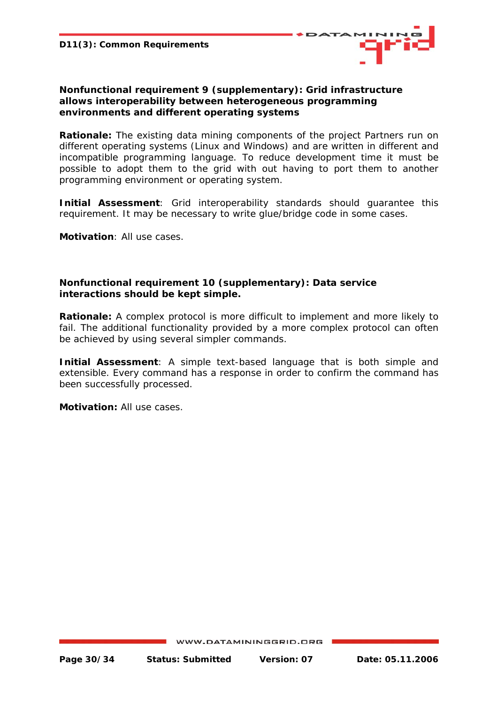

#### **Nonfunctional requirement 9 (supplementary): Grid infrastructure allows interoperability between heterogeneous programming environments and different operating systems**

*Rationale:* The existing data mining components of the project Partners run on different operating systems (Linux and Windows) and are written in different and incompatible programming language. To reduce development time it must be possible to adopt them to the grid with out having to port them to another programming environment or operating system.

*Initial Assessment*: Grid interoperability standards should guarantee this requirement. It may be necessary to write glue/bridge code in some cases.

*Motivation*: All use cases.

#### **Nonfunctional requirement 10 (supplementary): Data service interactions should be kept simple.**

*Rationale***:** A complex protocol is more difficult to implement and more likely to fail. The additional functionality provided by a more complex protocol can often be achieved by using several simpler commands.

*Initial Assessment*: A simple text-based language that is both simple and extensible. Every command has a response in order to confirm the command has been successfully processed.

*Motivation:* All use cases.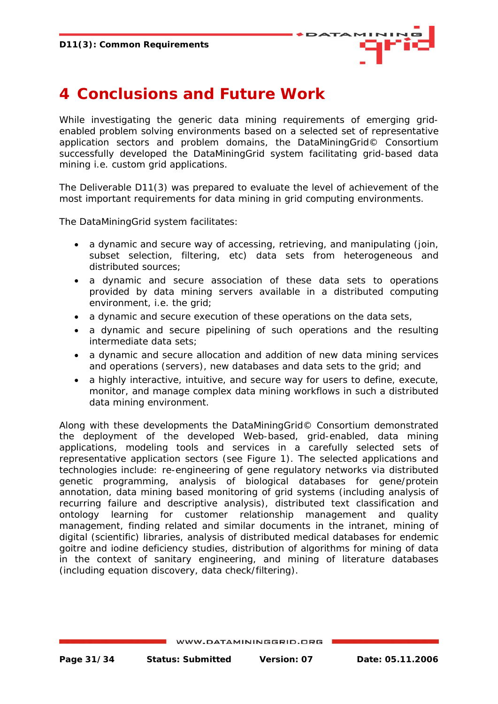

# <span id="page-30-0"></span>**4 Conclusions and Future Work**

While investigating the generic data mining requirements of emerging gridenabled problem solving environments based on a selected set of representative application sectors and problem domains, the DataMiningGrid© Consortium successfully developed the DataMiningGrid system facilitating grid-based data mining i.e. custom grid applications.

The Deliverable D11(3) was prepared to evaluate the level of achievement of the most important requirements for data mining in grid computing environments.

The DataMiningGrid system facilitates:

- a dynamic and secure way of accessing, retrieving, and manipulating (join, subset selection, filtering, etc) data sets from heterogeneous and distributed sources;
- a dynamic and secure association of these data sets to operations provided by data mining servers available in a distributed computing environment, i.e. the grid;
- a dynamic and secure execution of these operations on the data sets,
- a dynamic and secure pipelining of such operations and the resulting intermediate data sets;
- a dynamic and secure allocation and addition of new data mining services and operations (servers), new databases and data sets to the grid; and
- a highly interactive, intuitive, and secure way for users to define, execute, monitor, and manage complex data mining workflows in such a distributed data mining environment.

Along with these developments the DataMiningGrid© Consortium demonstrated the deployment of the developed Web-based, grid-enabled, data mining applications, modeling tools and services in a carefully selected sets of representative application sectors (see Figure 1). The selected applications and technologies include: re-engineering of gene regulatory networks via distributed genetic programming, analysis of biological databases for gene/protein annotation, data mining based monitoring of grid systems (including analysis of recurring failure and descriptive analysis), distributed text classification and ontology learning for customer relationship management and quality management, finding related and similar documents in the intranet, mining of digital (scientific) libraries, analysis of distributed medical databases for endemic goitre and iodine deficiency studies, distribution of algorithms for mining of data in the context of sanitary engineering, and mining of literature databases (including equation discovery, data check/filtering).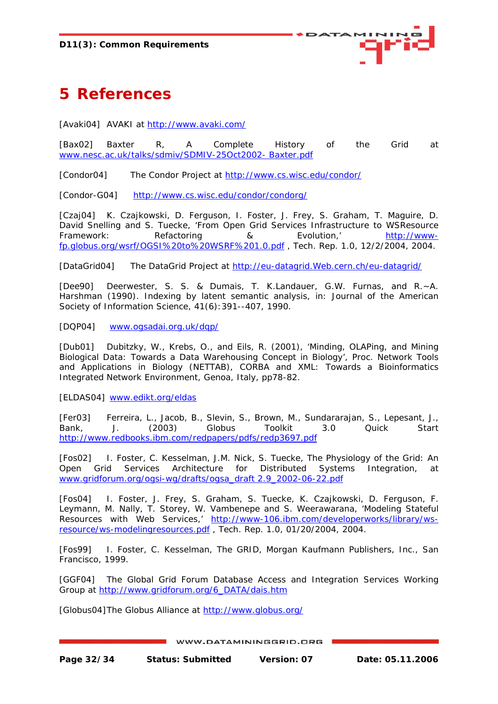

# <span id="page-31-0"></span>**5 References**

[Avaki04] AVAKI at<http://www.avaki.com/>

[Bax02] Baxter R, A Complete History of the Grid at [www.nesc.ac.uk/talks/sdmiv/SDMIV-25Oct2002- Baxter.pdf](http://www.nesc.ac.uk/talks/sdmiv/SDMIV-25Oct2002-%20Baxter.pdf)

[Condor04] The Condor Project at<http://www.cs.wisc.edu/condor/>

[Condor-G04] <http://www.cs.wisc.edu/condor/condorg/>

[Czaj04] K. Czajkowski, D. Ferguson, I. Foster, J. Frey, S. Graham, T. Maguire, D. David Snelling and S. Tuecke, 'From Open Grid Services Infrastructure to WSResource Framework: Refactoring & Evolution,' [http://www](http://www-fp.globus.org/wsrf/OGSI%20to%20WSRF%201.0.pdf)[fp.globus.org/wsrf/OGSI%20to%20WSRF%201.0.pdf](http://www-fp.globus.org/wsrf/OGSI%20to%20WSRF%201.0.pdf) , Tech. Rep. 1.0, 12/2/2004, 2004.

[DataGrid04] The DataGrid Project at http://eu-datagrid.Web.cern.ch/eu-datagrid/

[Dee90] Deerwester, S. S. & Dumais, T. K.Landauer, G.W. Furnas, and R.~A. Harshman (1990). Indexing by latent semantic analysis, in: Journal of the American Society of Information Science, 41(6):391--407, 1990.

[DQP04] [www.ogsadai.org.uk/dqp/](http://www.ogsadai.org.uk/dqp/%5d)

[Dub01] Dubitzky, W., Krebs, O., and Eils, R. (2001), 'Minding, OLAPing, and Mining Biological Data: Towards a Data Warehousing Concept in Biology', Proc. Network Tools and Applications in Biology (NETTAB), CORBA and XML: Towards a Bioinformatics Integrated Network Environment, Genoa, Italy, pp78-82.

[ELDAS04] [www.edikt.org/eldas](http://www.edikt.org/eldas)

[Fer03] Ferreira, L., Jacob, B., Slevin, S., Brown, M., Sundararajan, S., Lepesant, J., Bank, J. (2003) Globus Toolkit 3.0 Quick Start <http://www.redbooks.ibm.com/redpapers/pdfs/redp3697.pdf>

[Fos02] I. Foster, C. Kesselman, J.M. Nick, S. Tuecke, The Physiology of the Grid: An Open Grid Services Architecture for Distributed Systems Integration, at [www.gridforum.org/ogsi-wg/drafts/ogsa\\_draft 2.9\\_2002-06-22.pdf](http://www.gridforum.org/ogsi-wg/drafts/ogsa_draft%202.9_2002-06-22.pdf)

[Fos04] I. Foster, J. Frey, S. Graham, S. Tuecke, K. Czajkowski, D. Ferguson, F. Leymann, M. Nally, T. Storey, W. Vambenepe and S. Weerawarana, 'Modeling Stateful Resources with Web Services,' [http://www-106.ibm.com/developerworks/library/ws](http://www-106.ibm.com/developerworks/library/ws-resource/ws-modelingresources.pdf)[resource/ws-modelingresources.pdf](http://www-106.ibm.com/developerworks/library/ws-resource/ws-modelingresources.pdf) , Tech. Rep. 1.0, 01/20/2004, 2004.

[Fos99] I. Foster, C. Kesselman, The GRID, Morgan Kaufmann Publishers, Inc., San Francisco, 1999.

[GGF04] The Global Grid Forum Database Access and Integration Services Working Group at [http://www.gridforum.org/6\\_DATA/dais.htm](http://www.gridforum.org/6_DATA/dais.htm) 

[Globus04] The Globus Alliance at <http://www.globus.org/>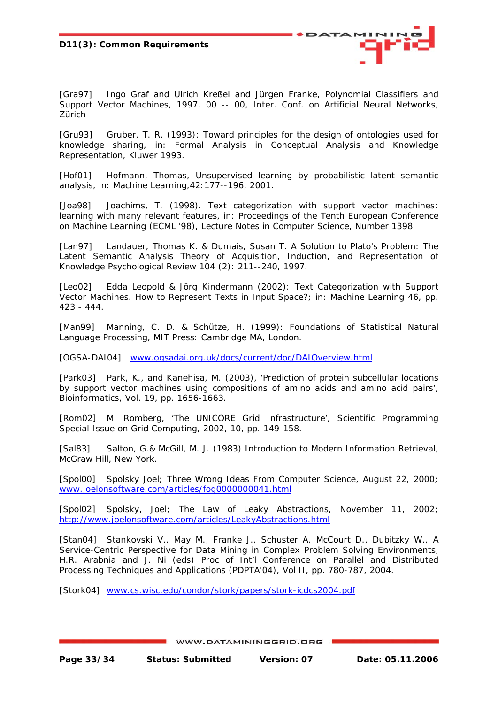

[Gra97] Ingo Graf and Ulrich Kreßel and Jürgen Franke, Polynomial Classifiers and Support Vector Machines, 1997, 00 -- 00, Inter. Conf. on Artificial Neural Networks, Zürich

[Gru93] Gruber, T. R. (1993): Toward principles for the design of ontologies used for knowledge sharing, in: Formal Analysis in Conceptual Analysis and Knowledge Representation, Kluwer 1993.

[Hof01] Hofmann, Thomas, Unsupervised learning by probabilistic latent semantic analysis, in: Machine Learning,42:177--196, 2001.

[Joa98] Joachims, T. (1998). Text categorization with support vector machines: learning with many relevant features, in: Proceedings of the Tenth European Conference on Machine Learning (ECML '98), Lecture Notes in Computer Science, Number 1398

[Lan97] Landauer, Thomas K. & Dumais, Susan T. A Solution to Plato's Problem: The Latent Semantic Analysis Theory of Acquisition, Induction, and Representation of Knowledge Psychological Review 104 (2): 211--240, 1997.

[Leo02] Edda Leopold & Jörg Kindermann (2002): Text Categorization with Support Vector Machines. How to Represent Texts in Input Space?; in: Machine Learning 46, pp. 423 - 444.

[Man99] Manning, C. D. & Schütze, H. (1999): Foundations of Statistical Natural Language Processing, MIT Press: Cambridge MA, London.

[OGSA-DAI04] [www.ogsadai.org.uk/docs/current/doc/DAIOverview.html](http://www.ogsadai.org.uk/docs/current/doc/DAIOverview.html)

[Park03] Park, K., and Kanehisa, M. (2003), 'Prediction of protein subcellular locations by support vector machines using compositions of amino acids and amino acid pairs', Bioinformatics, Vol. 19, pp. 1656-1663.

[Rom02] M. Romberg, 'The UNICORE Grid Infrastructure', Scientific Programming Special Issue on Grid Computing, 2002, 10, pp. 149-158.

[Sal83] Salton, G.& McGill, M. J. (1983) Introduction to Modern Information Retrieval, McGraw Hill, New York.

[Spol00] Spolsky Joel; Three Wrong Ideas From Computer Science, August 22, 2000; [www.joelonsoftware.com/articles/fog0000000041.html](http://www.joelonsoftware.com/articles/fog0000000041.html)

[Spol02] Spolsky, Joel; The Law of Leaky Abstractions, November 11, 2002; <http://www.joelonsoftware.com/articles/LeakyAbstractions.html>

[Stan04] Stankovski V., May M., Franke J., Schuster A, McCourt D., Dubitzky W., A Service-Centric Perspective for Data Mining in Complex Problem Solving Environments, H.R. Arabnia and J. Ni (eds) Proc of Int'l Conference on Parallel and Distributed Processing Techniques and Applications (PDPTA'04), Vol II, pp. 780-787, 2004.

[Stork04] [www.cs.wisc.edu/condor/stork/papers/stork-icdcs2004.pdf](http://www.cs.wisc.edu/condor/stork/papers/stork-icdcs2004.pdf)